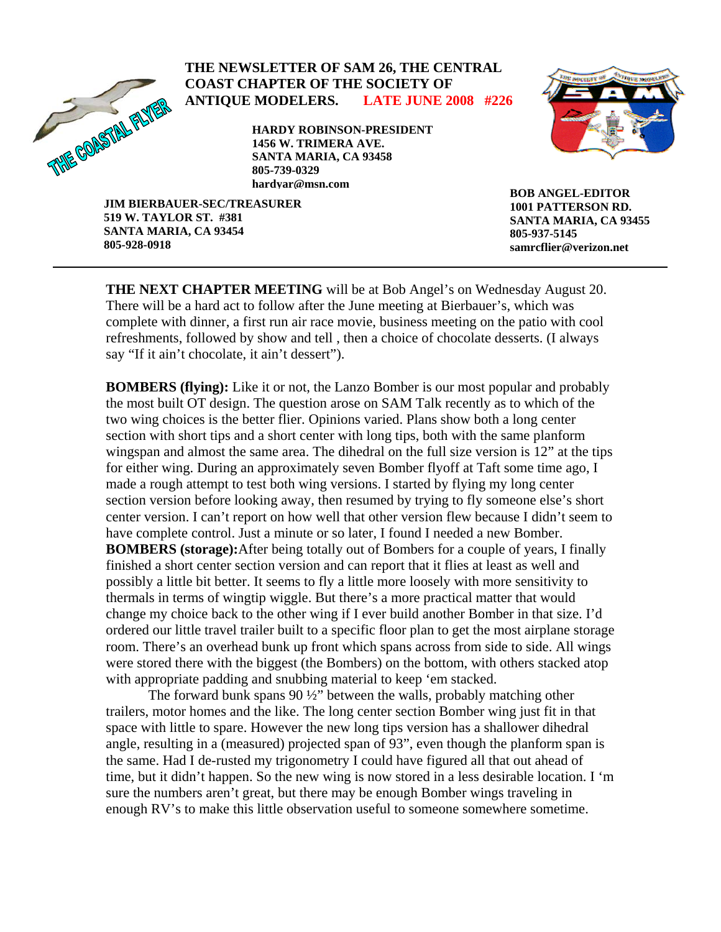

# **THE NEWSLETTER OF SAM 26, THE CENTRAL COAST CHAPTER OF THE SOCIETY OF ANTIQUE MODELERS. LATE JUNE 2008 #226**

**HARDY ROBINSON-PRESIDENT 1456 W. TRIMERA AVE. SANTA MARIA, CA 93458 805-739-0329 hardyar@msn.com**



**JIM BIERBAUER-SEC/TREASURER 519 W. TAYLOR ST. #381 SANTA MARIA, CA 93454 805-928-0918** 

**BOB ANGEL-EDITOR 1001 PATTERSON RD. SANTA MARIA, CA 93455 805-937-5145 samrcflier@verizon.net**

**THE NEXT CHAPTER MEETING** will be at Bob Angel's on Wednesday August 20. There will be a hard act to follow after the June meeting at Bierbauer's, which was complete with dinner, a first run air race movie, business meeting on the patio with cool refreshments, followed by show and tell , then a choice of chocolate desserts. (I always say "If it ain't chocolate, it ain't dessert").

**BOMBERS (flying):** Like it or not, the Lanzo Bomber is our most popular and probably the most built OT design. The question arose on SAM Talk recently as to which of the two wing choices is the better flier. Opinions varied. Plans show both a long center section with short tips and a short center with long tips, both with the same planform wingspan and almost the same area. The dihedral on the full size version is 12" at the tips for either wing. During an approximately seven Bomber flyoff at Taft some time ago, I made a rough attempt to test both wing versions. I started by flying my long center section version before looking away, then resumed by trying to fly someone else's short center version. I can't report on how well that other version flew because I didn't seem to have complete control. Just a minute or so later, I found I needed a new Bomber. **BOMBERS (storage):**After being totally out of Bombers for a couple of years, I finally finished a short center section version and can report that it flies at least as well and possibly a little bit better. It seems to fly a little more loosely with more sensitivity to thermals in terms of wingtip wiggle. But there's a more practical matter that would change my choice back to the other wing if I ever build another Bomber in that size. I'd ordered our little travel trailer built to a specific floor plan to get the most airplane storage room. There's an overhead bunk up front which spans across from side to side. All wings were stored there with the biggest (the Bombers) on the bottom, with others stacked atop with appropriate padding and snubbing material to keep 'em stacked.

 The forward bunk spans 90 ½" between the walls, probably matching other trailers, motor homes and the like. The long center section Bomber wing just fit in that space with little to spare. However the new long tips version has a shallower dihedral angle, resulting in a (measured) projected span of 93", even though the planform span is the same. Had I de-rusted my trigonometry I could have figured all that out ahead of time, but it didn't happen. So the new wing is now stored in a less desirable location. I 'm sure the numbers aren't great, but there may be enough Bomber wings traveling in enough RV's to make this little observation useful to someone somewhere sometime.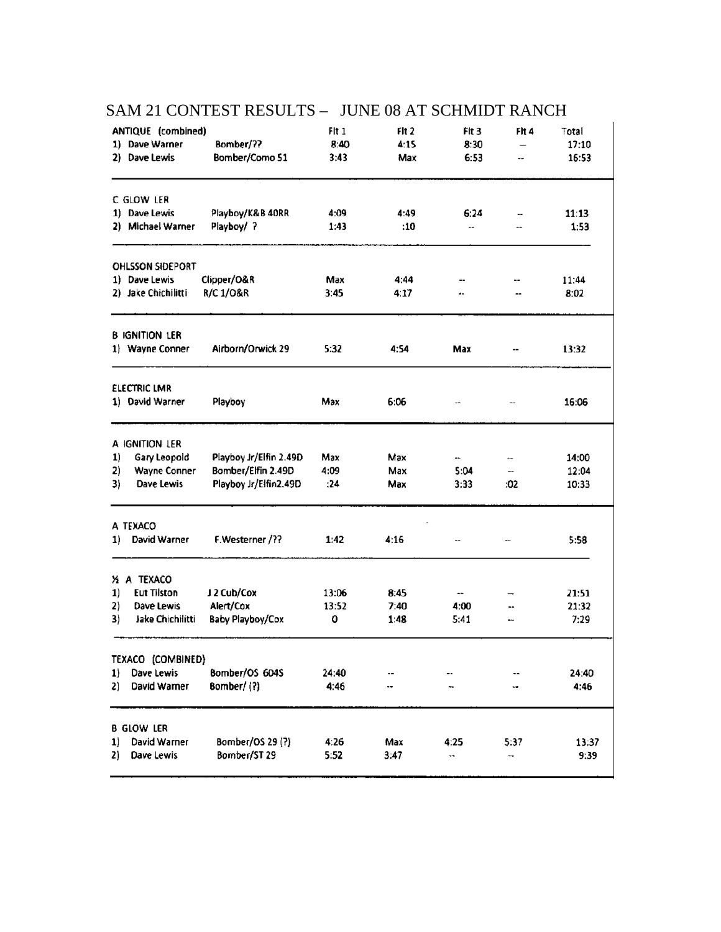| ANTIQUE (combined)       |                        | Fit 1 | Flt 2 | FIt 3                    | Fit 4                    | Total |
|--------------------------|------------------------|-------|-------|--------------------------|--------------------------|-------|
| 1) Dave Warner           | Bomber/??              | 8:40  | 4:15  | 8:30                     | $\overline{\phantom{0}}$ | 17:10 |
| 2) Dave Lewis            | Bomber/Como 51         | 3:43  | Max   | 6:53                     | --                       | 16:53 |
| C GLOW LER               |                        |       |       |                          |                          |       |
| 1) Dave Lewis            | Playboy/K&B 40RR       | 4:09  | 4:49  | 6:24                     |                          | 11:13 |
| 2) Michael Warner        | Playboy/ ?             | 1:43  | :10   | ۰.                       | -                        | 1:53  |
| <b>OHLSSON SIDEPORT</b>  |                        |       |       |                          |                          |       |
| 1) Dave Lewis            | Clipper/O&R            | Max   | 4:44  | ⊷                        | ۰.                       | 11:44 |
| 2) Jake Chichilitti      | R/C 1/0&R              | 3:45  | 4:17  | ۰.                       |                          | 8:02  |
| <b>B IGNITION LER</b>    |                        |       |       |                          |                          |       |
| 1) Wayne Conner          | Airborn/Orwick 29      | 5:32  | 4:54  | Max                      |                          | 13:32 |
| <b>ELECTRIC LMR</b>      |                        |       |       |                          |                          |       |
| 1) David Warner          | Playboy                | Max   | 6:06  |                          |                          | 16:06 |
| A IGNITION LER           |                        |       |       |                          |                          |       |
| Gary Leopold<br>1)       | Playboy Jr/Elfin 2.49D | Max   | Max   |                          | ∸.                       | 14:00 |
| 2)<br>Wayne Conner       | Bomber/Elfin 2.49D     | 4:09  | Max   | 5:04                     | --                       | 12:04 |
| 3)<br>Dave Lewis         | Playboy Jr/Elfin2.49D  | :24   | Max   | 3:33                     | :02                      | 10:33 |
| A TEXACO                 |                        |       |       |                          |                          |       |
| David Warner<br>1)       | F.Westerner /??        | 1:42  | 4:16  | ⊷                        | ∼-                       | 5:58  |
| X A TEXACO               |                        |       |       |                          |                          |       |
| <b>Eut Tilston</b><br>1) | J 2 Cub/Cox            | 13:06 | 8:45  | $\overline{\phantom{a}}$ | -                        | 21:51 |
| 2)<br>Dave Lewis         | Alert/Cox              | 13:52 | 7:40  | 4:00                     | --                       | 21:32 |
| 3)<br>Jake Chichilitti   | Baby Playboy/Cox       | 0     | 1:48  | 5:41                     | ⊷                        | 7:29  |
| TEXACO (COMBINED)        |                        |       |       |                          |                          |       |
| Dave Lewis<br>1)         | Bomber/OS 604S         | 24:40 |       |                          |                          | 24:40 |
| David Warner<br>2)       | Bomber/(?)             | 4:46  |       | ٠.                       | ٠.                       | 4:46  |
| b glow ler               |                        |       |       |                          |                          |       |
| David Warner<br>1)       | Bomber/OS 29 (?)       | 4:26  | Max   | 4:25                     | 5:37                     | 13:37 |
| 2)<br>Dave Lewis         | Bomber/ST 29           | 5:52  | 3:47  |                          | --                       | 9:39  |

# SAM 21 CONTEST RESULTS - JUNE 08 AT SCHMIDT RANCH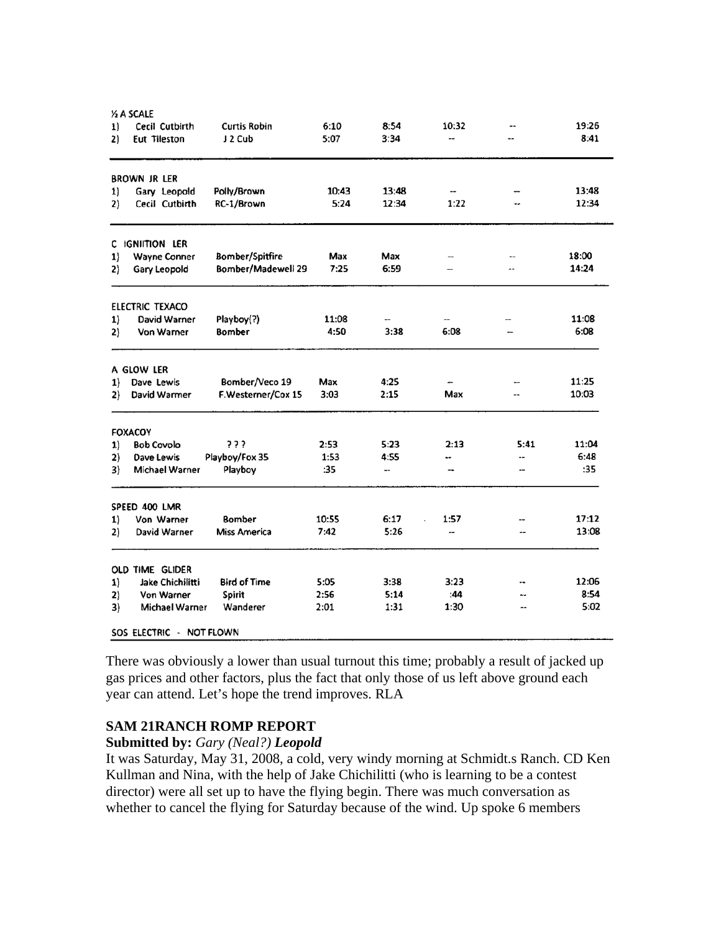|    | <b>% A SCALE</b>         |                     |       |       |       |                |       |
|----|--------------------------|---------------------|-------|-------|-------|----------------|-------|
| 1) | Cecil Cutbirth           | <b>Curtis Robin</b> | 6:10  | 8:54  | 10:32 | --             | 19:26 |
| 2) | Eut Tileston             | J 2 Cub             | 5:07  | 3:34  | --    | --             | 8:41  |
|    | <b>BROWN JR LER</b>      |                     |       |       |       |                |       |
| 1) | Gary Leopold             | Polly/Brown         | 10:43 | 13:48 | --    |                | 13:48 |
| 2) | Cecil Cutbirth           | RC-1/Brown          | 5:24  | 12:34 | 1:22  |                | 12:34 |
|    | C IGNIITION LER          |                     |       |       |       |                |       |
| 1) | Wayne Conner             | Bomber/Spitfire     | Max   | Max   | --    | ۰.             | 18:00 |
| 2) | Gary Leopold             | Bomber/Madewell 29  | 7:25  | 6:59  |       | ÷              | 14:24 |
|    | ELECTRIC TEXACO          |                     |       |       |       |                |       |
| 1) | David Warner             | Playboy(?)          | 11:08 |       |       |                | 11:08 |
| 2) | Von Warner               | Bomber              | 4:50  | 3:38  | 6:08  |                | 6:08  |
|    | A GLOW LER               |                     |       |       |       |                |       |
| 1) | Dave Lewis               | Bomber/Veco 19      | Max   | 4:25  |       |                | 11:25 |
| 2) | David Warmer             | F.Westerner/Cox 15  | 3:03  | 2:15  | Max   |                | 10:03 |
|    | <b>FOXACOY</b>           |                     |       |       |       |                |       |
| 1) | <b>Bob Covolo</b>        | ???                 | 2:53  | 5:23  | 2:13  | 5:41           | 11:04 |
| 2) | Dave Lewis               | Playboy/Fox 35      | 1:53  | 4:55  |       | --             | 6:48  |
| 3) | Michael Warner           | Playboy             | :35   | --    | --    | --             | :35   |
|    | SPEED 400 LMR            |                     |       |       |       |                |       |
| 1) | Von Warner               | <b>Bomber</b>       | 10:55 | 6:17  | 1:57  |                | 17:12 |
| 2) | David Warner             | <b>Miss America</b> | 7:42  | 5:26  | --    | --             | 13:08 |
|    | OLD TIME GLIDER          |                     |       |       |       |                |       |
| 1) | Jake Chichilitti         | <b>Bird of Time</b> | 5:05  | 3:38  | 3:23  |                | 12:06 |
| 2) | Von Warner               | Spirit              | 2:56  | 5:14  | :44   |                | 8:54  |
| 3) | Michael Warner           | Wanderer            | 2:01  | 1:31  | 1:30  | $\overline{a}$ | 5:02  |
|    | SOS ELECTRIC - NOT FLOWN |                     |       |       |       |                |       |

There was obviously a lower than usual turnout this time; probably a result of jacked up gas prices and other factors, plus the fact that only those of us left above ground each year can attend. Let's hope the trend improves. RLA

# **SAM 21RANCH ROMP REPORT**

# **Submitted by:** *Gary (Neal?) Leopold*

It was Saturday, May 31, 2008, a cold, very windy morning at Schmidt.s Ranch. CD Ken Kullman and Nina, with the help of Jake Chichilitti (who is learning to be a contest director) were all set up to have the flying begin. There was much conversation as whether to cancel the flying for Saturday because of the wind. Up spoke 6 members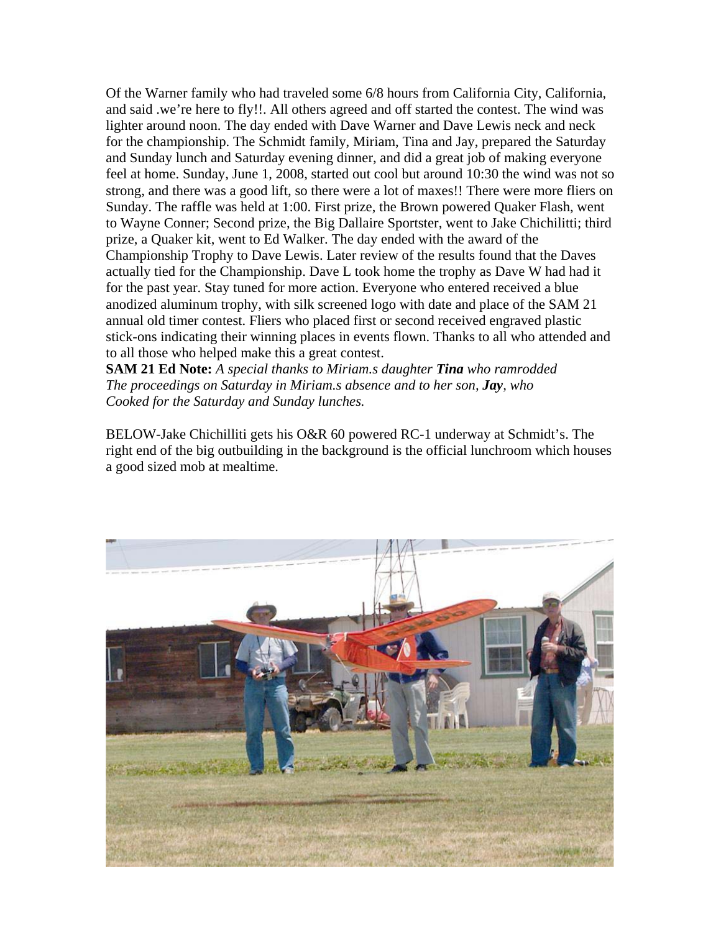Of the Warner family who had traveled some 6/8 hours from California City, California, and said .we're here to fly!!. All others agreed and off started the contest. The wind was lighter around noon. The day ended with Dave Warner and Dave Lewis neck and neck for the championship. The Schmidt family, Miriam, Tina and Jay, prepared the Saturday and Sunday lunch and Saturday evening dinner, and did a great job of making everyone feel at home. Sunday, June 1, 2008, started out cool but around 10:30 the wind was not so strong, and there was a good lift, so there were a lot of maxes!! There were more fliers on Sunday. The raffle was held at 1:00. First prize, the Brown powered Quaker Flash, went to Wayne Conner; Second prize, the Big Dallaire Sportster, went to Jake Chichilitti; third prize, a Quaker kit, went to Ed Walker. The day ended with the award of the Championship Trophy to Dave Lewis. Later review of the results found that the Daves actually tied for the Championship. Dave L took home the trophy as Dave W had had it for the past year. Stay tuned for more action. Everyone who entered received a blue anodized aluminum trophy, with silk screened logo with date and place of the SAM 21 annual old timer contest. Fliers who placed first or second received engraved plastic stick-ons indicating their winning places in events flown. Thanks to all who attended and to all those who helped make this a great contest.

**SAM 21 Ed Note:** *A special thanks to Miriam.s daughter Tina who ramrodded The proceedings on Saturday in Miriam.s absence and to her son, Jay, who Cooked for the Saturday and Sunday lunches.* 

BELOW-Jake Chichilliti gets his O&R 60 powered RC-1 underway at Schmidt's. The right end of the big outbuilding in the background is the official lunchroom which houses a good sized mob at mealtime.

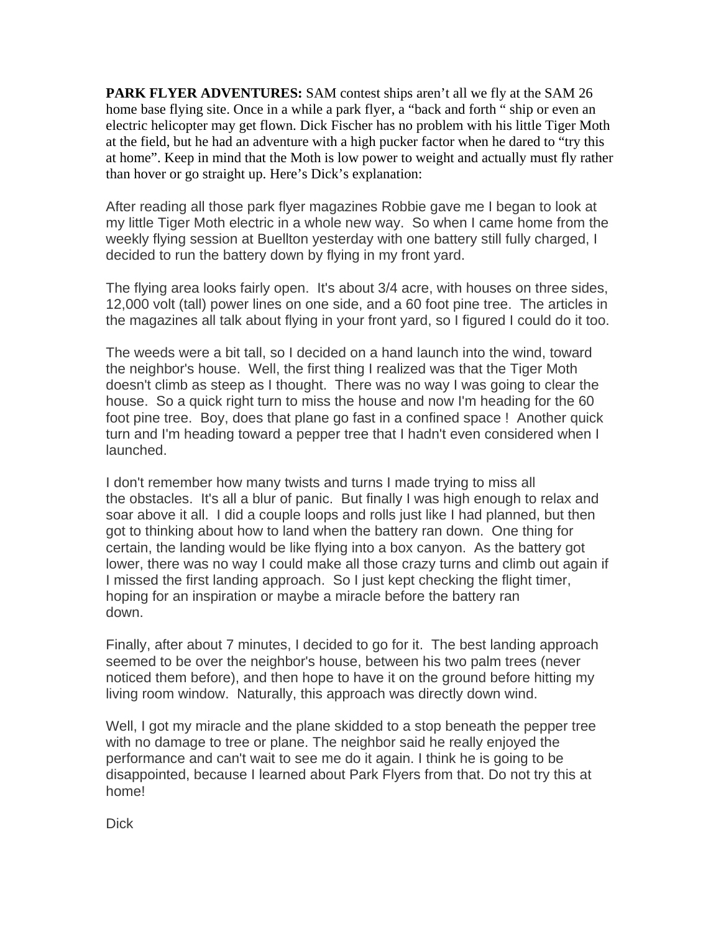**PARK FLYER ADVENTURES:** SAM contest ships aren't all we fly at the SAM 26 home base flying site. Once in a while a park flyer, a "back and forth " ship or even an electric helicopter may get flown. Dick Fischer has no problem with his little Tiger Moth at the field, but he had an adventure with a high pucker factor when he dared to "try this at home". Keep in mind that the Moth is low power to weight and actually must fly rather than hover or go straight up. Here's Dick's explanation:

After reading all those park flyer magazines Robbie gave me I began to look at my little Tiger Moth electric in a whole new way. So when I came home from the weekly flying session at Buellton yesterday with one battery still fully charged, I decided to run the battery down by flying in my front yard.

The flying area looks fairly open. It's about 3/4 acre, with houses on three sides, 12,000 volt (tall) power lines on one side, and a 60 foot pine tree. The articles in the magazines all talk about flying in your front yard, so I figured I could do it too.

The weeds were a bit tall, so I decided on a hand launch into the wind, toward the neighbor's house. Well, the first thing I realized was that the Tiger Moth doesn't climb as steep as I thought. There was no way I was going to clear the house. So a quick right turn to miss the house and now I'm heading for the 60 foot pine tree. Boy, does that plane go fast in a confined space ! Another quick turn and I'm heading toward a pepper tree that I hadn't even considered when I launched.

I don't remember how many twists and turns I made trying to miss all the obstacles. It's all a blur of panic. But finally I was high enough to relax and soar above it all. I did a couple loops and rolls just like I had planned, but then got to thinking about how to land when the battery ran down. One thing for certain, the landing would be like flying into a box canyon. As the battery got lower, there was no way I could make all those crazy turns and climb out again if I missed the first landing approach. So I just kept checking the flight timer, hoping for an inspiration or maybe a miracle before the battery ran down.

Finally, after about 7 minutes, I decided to go for it. The best landing approach seemed to be over the neighbor's house, between his two palm trees (never noticed them before), and then hope to have it on the ground before hitting my living room window. Naturally, this approach was directly down wind.

Well, I got my miracle and the plane skidded to a stop beneath the pepper tree with no damage to tree or plane. The neighbor said he really enjoyed the performance and can't wait to see me do it again. I think he is going to be disappointed, because I learned about Park Flyers from that. Do not try this at home!

**Dick**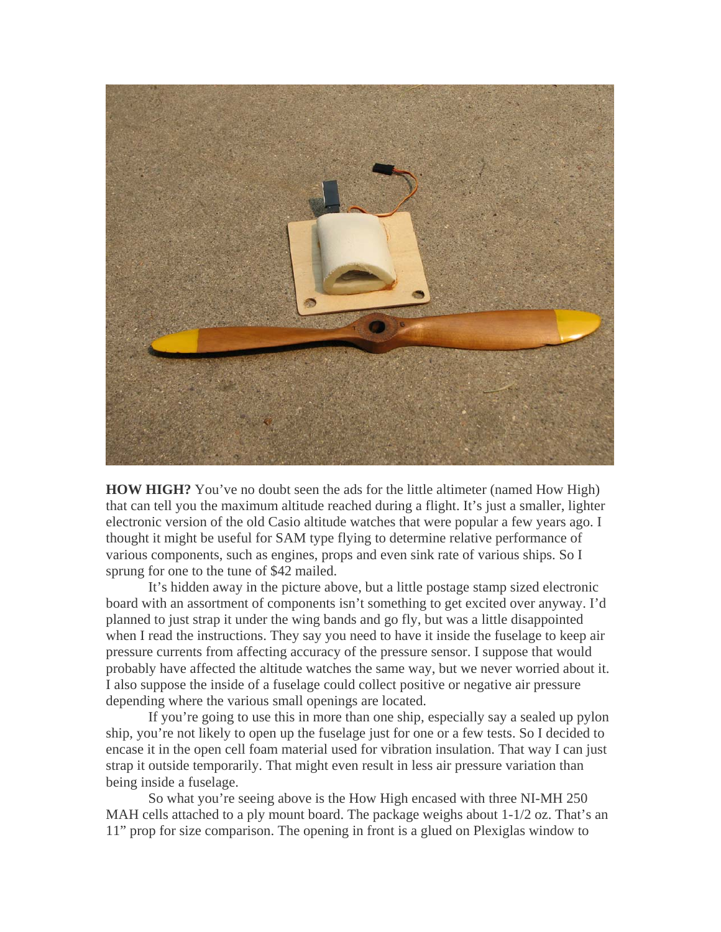

**HOW HIGH?** You've no doubt seen the ads for the little altimeter (named How High) that can tell you the maximum altitude reached during a flight. It's just a smaller, lighter electronic version of the old Casio altitude watches that were popular a few years ago. I thought it might be useful for SAM type flying to determine relative performance of various components, such as engines, props and even sink rate of various ships. So I sprung for one to the tune of \$42 mailed.

It's hidden away in the picture above, but a little postage stamp sized electronic board with an assortment of components isn't something to get excited over anyway. I'd planned to just strap it under the wing bands and go fly, but was a little disappointed when I read the instructions. They say you need to have it inside the fuselage to keep air pressure currents from affecting accuracy of the pressure sensor. I suppose that would probably have affected the altitude watches the same way, but we never worried about i t. I also suppose the inside of a fuselage could collect positive or negative air pressure depending where the various small openings are located.

 If you're going to use this in more than one ship, especially say a sealed up pylo n ship, you're not likely to open up the fuselage just for one or a few tests. So I decided to encase it in the open cell foam material used for vibration insulation. That way I can just strap it outside temporarily. That might even result in less air pressure variation than being inside a fuselage.

 So what you're seeing above is the How High encased with three NI-MH 250 MAH cells attached to a ply mount board. The package weighs about 1-1/2 oz. That's an 11" pr op for size comparison. The opening in front is a glued on Plexiglas window to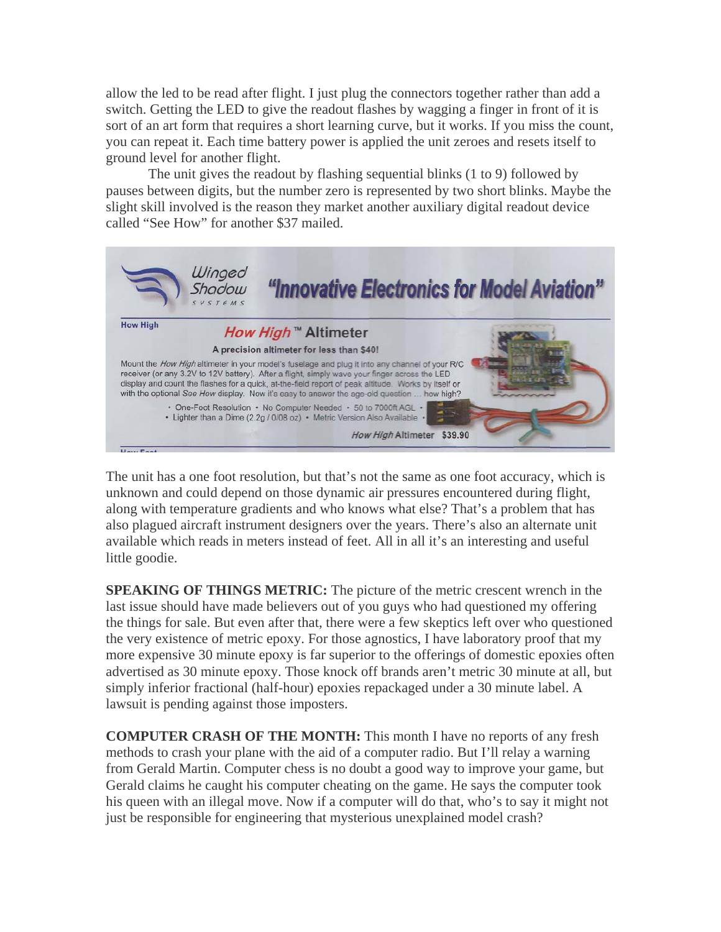allow the led to be read after flight. I just plug the connectors together rather than add a switch. Getting the LED to give the readout flashes by wagging a finger in front of it is sort of an art form that requires a short learning curve, but it works. If you miss the count, you can repeat it. Each time battery power is applied the unit zeroes and resets itself to ground level for another flight.

 The unit gives the readout by flashing sequential blinks (1 to 9) followed by pauses between digits, but the number zero is represented by two short blinks. Maybe the slight skill involved is the reason they market another auxiliary digital readout device called "See How" for another \$37 mailed.



The unit has a one foot resolution, but that's not the same as one foot accuracy, which is unknown and could depend on those dynamic air pressures encountered during flight, along with temperature gradients and who knows what else? That's a problem that has also plagued aircraft instrument designers over the years. There's also an alternate unit available which reads in meters instead of feet. All in all it's an interesting and useful little goodie.

the things for sale. But even after that, there were a few skeptics left over who questioned more expensive 30 minute epoxy is far superior to the offerings of domestic epoxies often **SPEAKING OF THINGS METRIC:** The picture of the metric crescent wrench in the last issue should have made believers out of you guys who had questioned my offering the very existence of metric epoxy. For those agnostics, I have laboratory proof that my advertised as 30 minute epoxy. Those knock off brands aren't metric 30 minute at all, but simply inferior fractional (half-hour) epoxies repackaged under a 30 minute label. A lawsuit is pending against those imposters.

from Gerald Martin. Computer chess is no doubt a good way to improve your game, but Gerald claims he caught his computer cheating on the game. He says the computer took his queen with an illegal move. Now if a computer will do that, who's to say it might not **COMPUTER CRASH OF THE MONTH:** This month I have no reports of any fresh methods to crash your plane with the aid of a computer radio. But I'll relay a warning just be responsible for engineering that mysterious unexplained model crash?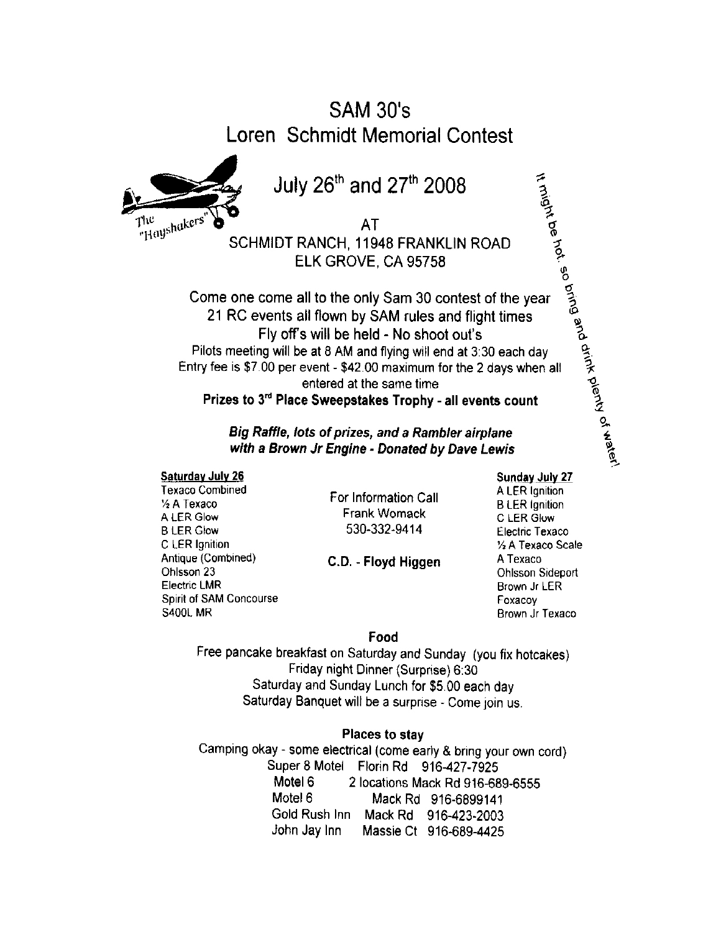# **SAM 30's** Loren Schmidt Memorial Contest



July 26th and 27th 2008

**AT** SCHMIDT RANCH, 11948 FRANKLIN ROAD ELK GROVE, CA 95758

It might be hot. so bring and drink plenty of water! Come one come all to the only Sam 30 contest of the year 21 RC events all flown by SAM rules and flight times Fly off's will be held - No shoot out's Pilots meeting will be at 8 AM and flying will end at 3:30 each day Entry fee is \$7.00 per event - \$42.00 maximum for the 2 days when all entered at the same time Prizes to 3rd Place Sweepstakes Trophy - all events count

Big Raffle, lots of prizes, and a Rambler airplane with a Brown Jr Engine - Donated by Dave Lewis

#### **Saturday July 26**

**Texaco Combined** 1/2 A Texaco A LER Glow **B LER Glow** C LER Ignition Antique (Combined) Ohlsson 23 **Electric LMR Spirit of SAM Concourse S400L MR** 

For Information Call **Frank Womack** 530-332-9414

C.D. - Floyd Higgen

# Sunday July 27

A LER Ignition **B** LER Ignition C LER Glow Electric Texaco 1/2 A Texaco Scale A Texaco **Ohlsson Sideport** Brown Jr LER Foxacov Brown Jr Texaco

### Food

Free pancake breakfast on Saturday and Sunday (you fix hotcakes) Friday night Dinner (Surprise) 6:30 Saturday and Sunday Lunch for \$5.00 each day Saturday Banquet will be a surprise - Come join us.

### **Places to stav**

Camping okay - some electrical (come early & bring your own cord) Super 8 Motel Florin Rd 916-427-7925 Motel 6 2 locations Mack Rd 916-689-6555 Motel 6 Mack Rd 916-6899141 Gold Rush Inn Mack Rd 916-423-2003 John Jay Inn Massie Ct 916-689-4425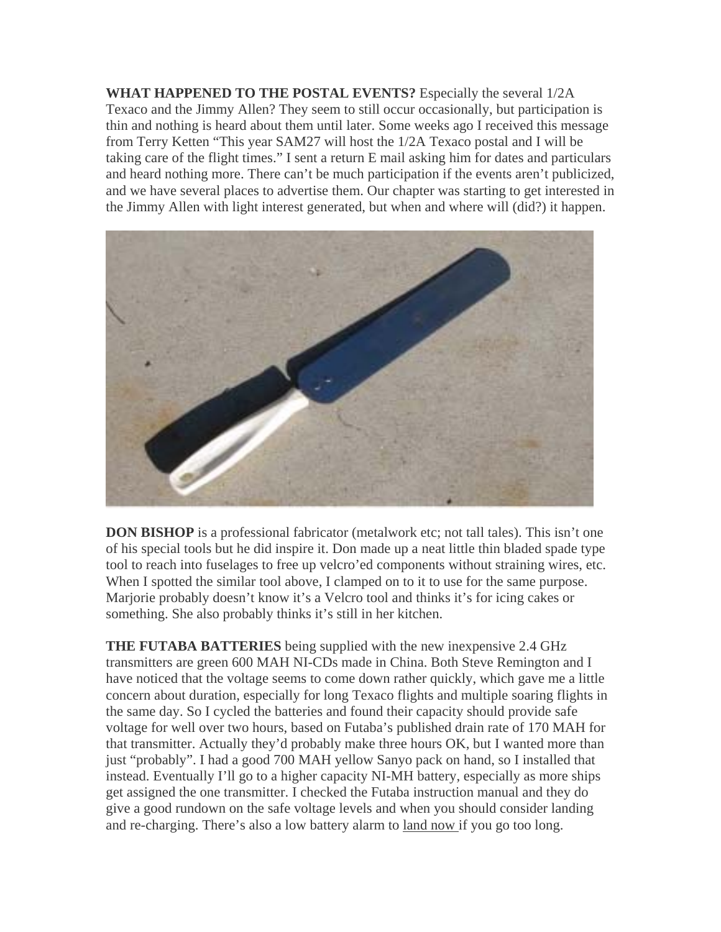**WHAT HAPPENED TO THE POSTAL EVENTS?** Especially the several 1/2A Texaco and the Jimmy Allen? They seem to still occur occasionally, but participation is thin and nothing is heard about them until later. Some weeks ago I received this message from Terry Ketten "This year SAM27 will host the 1/2A Texaco postal and I will be taking care of the flight times." I sent a return E mail asking him for dates and particulars and heard nothing more. There can't be much participation if the events aren't publicized, and we have several places to advertise them. Our chapter was starting to get interested in the Jimmy Allen with light interest generated, but when and where will (did?) it happen.



**DON BISHOP** is a professional fabricator (metalwork etc; not tall tales). This isn't one of his special tools but he did inspire it. Don made up a neat little thin bladed spade type tool to reach into fuselages to free up velcro'ed components without straining wires, etc. When I spotted the similar tool above, I clamped on to it to use for the same purpose. Marjorie probably doesn't know it's a Velcro tool and thinks it's for icing cakes or something. She also probably thinks it's still in her kitchen.

**THE FUTABA BATTERIES** being supplied with the new inexpensive 2.4 GHz transmitters are green 600 MAH NI-CDs made in China. Both Steve Remington and I have noticed that the voltage seems to come down rather quickly, which gave me a little concern about duration, especially for long Texaco flights and multiple soaring flights in the same day. So I cycled the batteries and found their capacity should provide safe voltage for well over two hours, based on Futaba's published drain rate of 170 MAH for that transmitter. Actually they'd probably make three hours OK, but I wanted more than just "probably". I had a good 700 MAH yellow Sanyo pack on hand, so I installed that instead. Eventually I'll go to a higher capacity NI-MH battery, especially as more ships get assigned the one transmitter. I checked the Futaba instruction manual and they do give a good rundown on the safe voltage levels and when you should consider landing and re-charging. There's also a low battery alarm to land now if you go too long.